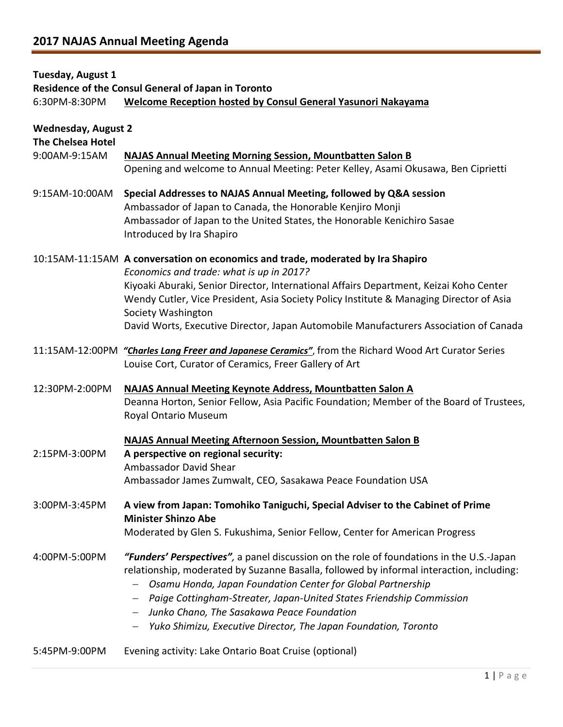## **Tuesday, August 1**

**Residence of the Consul General of Japan in Toronto**

6:30PM-8:30PM **Welcome Reception hosted by Consul General Yasunori Nakayama**

| <b>Wednesday, August 2</b><br><b>The Chelsea Hotel</b> |                                                                                                                                                                                                                                                                                                                                                                                                                                                                          |
|--------------------------------------------------------|--------------------------------------------------------------------------------------------------------------------------------------------------------------------------------------------------------------------------------------------------------------------------------------------------------------------------------------------------------------------------------------------------------------------------------------------------------------------------|
| 9:00AM-9:15AM                                          | <b>NAJAS Annual Meeting Morning Session, Mountbatten Salon B</b><br>Opening and welcome to Annual Meeting: Peter Kelley, Asami Okusawa, Ben Ciprietti                                                                                                                                                                                                                                                                                                                    |
| 9:15AM-10:00AM                                         | Special Addresses to NAJAS Annual Meeting, followed by Q&A session<br>Ambassador of Japan to Canada, the Honorable Kenjiro Monji<br>Ambassador of Japan to the United States, the Honorable Kenichiro Sasae<br>Introduced by Ira Shapiro                                                                                                                                                                                                                                 |
|                                                        | 10:15AM-11:15AM A conversation on economics and trade, moderated by Ira Shapiro<br>Economics and trade: what is up in 2017?<br>Kiyoaki Aburaki, Senior Director, International Affairs Department, Keizai Koho Center<br>Wendy Cutler, Vice President, Asia Society Policy Institute & Managing Director of Asia<br>Society Washington<br>David Worts, Executive Director, Japan Automobile Manufacturers Association of Canada                                          |
|                                                        | 11:15AM-12:00PM "Charles Lang Freer and Japanese Ceramics", from the Richard Wood Art Curator Series<br>Louise Cort, Curator of Ceramics, Freer Gallery of Art                                                                                                                                                                                                                                                                                                           |
| 12:30PM-2:00PM                                         | <b>NAJAS Annual Meeting Keynote Address, Mountbatten Salon A</b><br>Deanna Horton, Senior Fellow, Asia Pacific Foundation; Member of the Board of Trustees,<br>Royal Ontario Museum                                                                                                                                                                                                                                                                                      |
| 2:15PM-3:00PM                                          | <b>NAJAS Annual Meeting Afternoon Session, Mountbatten Salon B</b><br>A perspective on regional security:<br>Ambassador David Shear<br>Ambassador James Zumwalt, CEO, Sasakawa Peace Foundation USA                                                                                                                                                                                                                                                                      |
| 3:00PM-3:45PM                                          | A view from Japan: Tomohiko Taniguchi, Special Adviser to the Cabinet of Prime<br><b>Minister Shinzo Abe</b><br>Moderated by Glen S. Fukushima, Senior Fellow, Center for American Progress                                                                                                                                                                                                                                                                              |
| 4:00PM-5:00PM                                          | "Funders' Perspectives", a panel discussion on the role of foundations in the U.S.-Japan<br>relationship, moderated by Suzanne Basalla, followed by informal interaction, including:<br>Osamu Honda, Japan Foundation Center for Global Partnership<br>Paige Cottingham-Streater, Japan-United States Friendship Commission<br>$\qquad \qquad -$<br>Junko Chano, The Sasakawa Peace Foundation<br>$-$<br>Yuko Shimizu, Executive Director, The Japan Foundation, Toronto |
| 5:45PM-9:00PM                                          | Evening activity: Lake Ontario Boat Cruise (optional)                                                                                                                                                                                                                                                                                                                                                                                                                    |